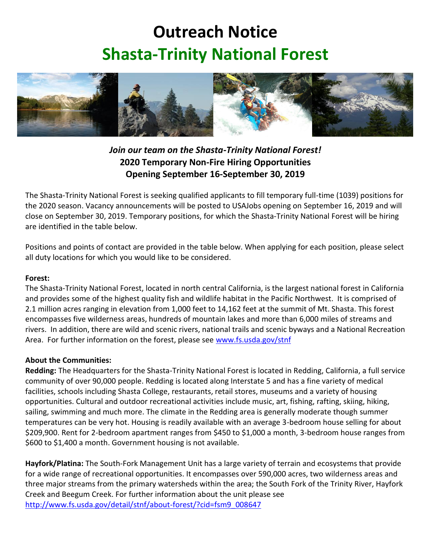## **Outreach Notice Shasta-Trinity National Forest**



*Join our team on the Shasta-Trinity National Forest!* **2020 Temporary Non-Fire Hiring Opportunities Opening September 16-September 30, 2019**

The Shasta-Trinity National Forest is seeking qualified applicants to fill temporary full-time (1039) positions for the 2020 season. Vacancy announcements will be posted to USAJobs opening on September 16, 2019 and will close on September 30, 2019. Temporary positions, for which the Shasta-Trinity National Forest will be hiring are identified in the table below.

Positions and points of contact are provided in the table below. When applying for each position, please select all duty locations for which you would like to be considered.

## **Forest:**

The Shasta-Trinity National Forest, located in north central California, is the largest national forest in California and provides some of the highest quality fish and wildlife habitat in the Pacific Northwest. It is comprised of 2.1 million acres ranging in elevation from 1,000 feet to 14,162 feet at the summit of Mt. Shasta. This forest encompasses five wilderness areas, hundreds of mountain lakes and more than 6,000 miles of streams and rivers. In addition, there are wild and scenic rivers, national trails and scenic byways and a National Recreation Area. For further information on the forest, please see [www.fs.usda.gov/stnf](http://www.fs.usda.gov/stnf)

## **About the Communities:**

**Redding:** The Headquarters for the Shasta-Trinity National Forest is located in Redding, California, a full service community of over 90,000 people. Redding is located along Interstate 5 and has a fine variety of medical facilities, schools including Shasta College, restaurants, retail stores, museums and a variety of housing opportunities. Cultural and outdoor recreational activities include music, art, fishing, rafting, skiing, hiking, sailing, swimming and much more. The climate in the Redding area is generally moderate though summer temperatures can be very hot. Housing is readily available with an average 3-bedroom house selling for about \$209,900. Rent for 2-bedroom apartment ranges from \$450 to \$1,000 a month, 3-bedroom house ranges from \$600 to \$1,400 a month. Government housing is not available.

**Hayfork/Platina:** The South-Fork Management Unit has a large variety of terrain and ecosystems that provide for a wide range of recreational opportunities. It encompasses over 590,000 acres, two wilderness areas and three major streams from the primary watersheds within the area; the South Fork of the Trinity River, Hayfork Creek and Beegum Creek. For further information about the unit please see [http://www.fs.usda.gov/detail/stnf/about-forest/?cid=fsm9\\_008647](http://www.fs.usda.gov/detail/stnf/about-forest/?cid=fsm9_008647)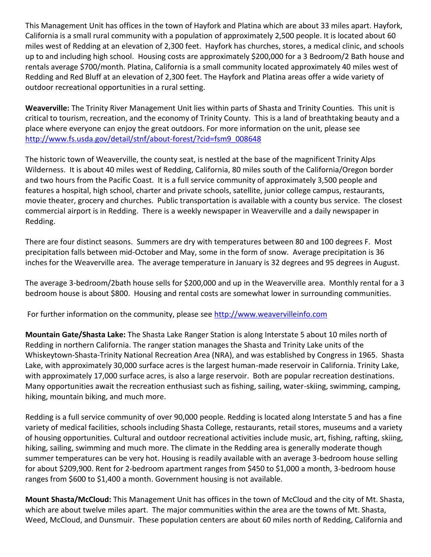This Management Unit has offices in the town of Hayfork and Platina which are about 33 miles apart. Hayfork, California is a small rural community with a population of approximately 2,500 people. It is located about 60 miles west of Redding at an elevation of 2,300 feet. Hayfork has churches, stores, a medical clinic, and schools up to and including high school. Housing costs are approximately \$200,000 for a 3 Bedroom/2 Bath house and rentals average \$700/month. Platina, California is a small community located approximately 40 miles west of Redding and Red Bluff at an elevation of 2,300 feet. The Hayfork and Platina areas offer a wide variety of outdoor recreational opportunities in a rural setting.

**Weaverville:** The Trinity River Management Unit lies within parts of Shasta and Trinity Counties. This unit is critical to tourism, recreation, and the economy of Trinity County. This is a land of breathtaking beauty and a place where everyone can enjoy the great outdoors. For more information on the unit, please see [http://www.fs.usda.gov/detail/stnf/about-forest/?cid=fsm9\\_008648](http://www.fs.usda.gov/detail/stnf/about-forest/?cid=fsm9_008648)

The historic town of Weaverville, the county seat, is nestled at the base of the magnificent Trinity Alps Wilderness. It is about 40 miles west of Redding, California, 80 miles south of the California/Oregon border and two hours from the Pacific Coast. It is a full service community of approximately 3,500 people and features a hospital, high school, charter and private schools, satellite, junior college campus, restaurants, movie theater, grocery and churches. Public transportation is available with a county bus service. The closest commercial airport is in Redding. There is a weekly newspaper in Weaverville and a daily newspaper in Redding.

There are four distinct seasons. Summers are dry with temperatures between 80 and 100 degrees F. Most precipitation falls between mid-October and May, some in the form of snow. Average precipitation is 36 inches for the Weaverville area. The average temperature in January is 32 degrees and 95 degrees in August.

The average 3-bedroom/2bath house sells for \$200,000 and up in the Weaverville area. Monthly rental for a 3 bedroom house is about \$800. Housing and rental costs are somewhat lower in surrounding communities.

For further information on the community, please see [http://www.weavervilleinfo.com](http://www.weavervilleinfo.com/)

**Mountain Gate/Shasta Lake:** The Shasta Lake Ranger Station is along Interstate 5 about 10 miles north of Redding in northern California. The ranger station manages the Shasta and Trinity Lake units of the Whiskeytown-Shasta-Trinity National Recreation Area (NRA), and was established by Congress in 1965. Shasta Lake, with approximately 30,000 surface acres is the largest human-made reservoir in California. Trinity Lake, with approximately 17,000 surface acres, is also a large reservoir. Both are popular recreation destinations. Many opportunities await the recreation enthusiast such as fishing, sailing, water-skiing, swimming, camping, hiking, mountain biking, and much more.

Redding is a full service community of over 90,000 people. Redding is located along Interstate 5 and has a fine variety of medical facilities, schools including Shasta College, restaurants, retail stores, museums and a variety of housing opportunities. Cultural and outdoor recreational activities include music, art, fishing, rafting, skiing, hiking, sailing, swimming and much more. The climate in the Redding area is generally moderate though summer temperatures can be very hot. Housing is readily available with an average 3-bedroom house selling for about \$209,900. Rent for 2-bedroom apartment ranges from \$450 to \$1,000 a month, 3-bedroom house ranges from \$600 to \$1,400 a month. Government housing is not available.

**Mount Shasta/McCloud:** This Management Unit has offices in the town of McCloud and the city of Mt. Shasta, which are about twelve miles apart. The major communities within the area are the towns of Mt. Shasta, Weed, McCloud, and Dunsmuir. These population centers are about 60 miles north of Redding, California and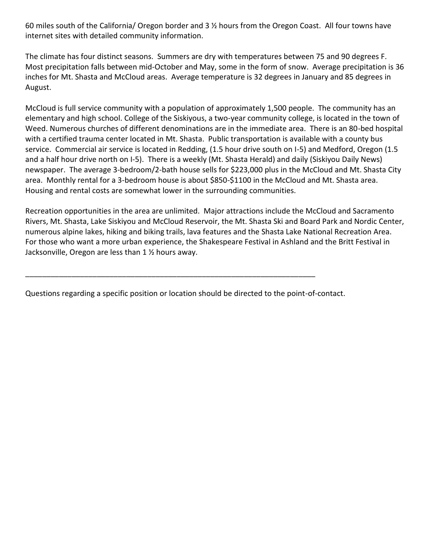60 miles south of the California/ Oregon border and 3 ½ hours from the Oregon Coast. All four towns have internet sites with detailed community information.

The climate has four distinct seasons. Summers are dry with temperatures between 75 and 90 degrees F. Most precipitation falls between mid-October and May, some in the form of snow. Average precipitation is 36 inches for Mt. Shasta and McCloud areas. Average temperature is 32 degrees in January and 85 degrees in August.

McCloud is full service community with a population of approximately 1,500 people. The community has an elementary and high school. College of the Siskiyous, a two-year community college, is located in the town of Weed. Numerous churches of different denominations are in the immediate area. There is an 80-bed hospital with a certified trauma center located in Mt. Shasta. Public transportation is available with a county bus service. Commercial air service is located in Redding, (1.5 hour drive south on I-5) and Medford, Oregon (1.5 and a half hour drive north on I-5). There is a weekly (Mt. Shasta Herald) and daily (Siskiyou Daily News) newspaper. The average 3-bedroom/2-bath house sells for \$223,000 plus in the McCloud and Mt. Shasta City area. Monthly rental for a 3-bedroom house is about \$850-\$1100 in the McCloud and Mt. Shasta area. Housing and rental costs are somewhat lower in the surrounding communities.

Recreation opportunities in the area are unlimited. Major attractions include the McCloud and Sacramento Rivers, Mt. Shasta, Lake Siskiyou and McCloud Reservoir, the Mt. Shasta Ski and Board Park and Nordic Center, numerous alpine lakes, hiking and biking trails, lava features and the Shasta Lake National Recreation Area. For those who want a more urban experience, the Shakespeare Festival in Ashland and the Britt Festival in Jacksonville, Oregon are less than 1 ½ hours away.

Questions regarding a specific position or location should be directed to the point-of-contact.

\_\_\_\_\_\_\_\_\_\_\_\_\_\_\_\_\_\_\_\_\_\_\_\_\_\_\_\_\_\_\_\_\_\_\_\_\_\_\_\_\_\_\_\_\_\_\_\_\_\_\_\_\_\_\_\_\_\_\_\_\_\_\_\_\_\_\_\_\_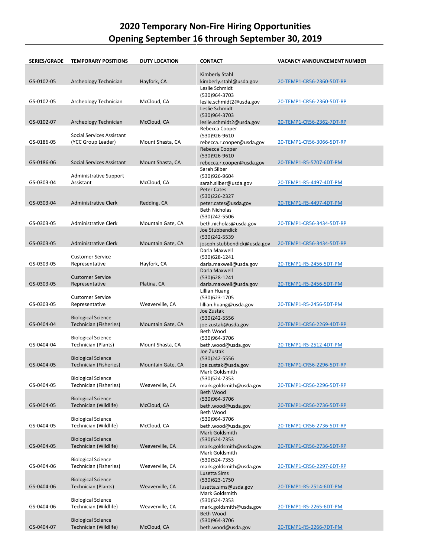## **2020 Temporary Non-Fire Hiring Opportunities Opening September 16 through September 30, 2019**

| <b>SERIES/GRADE</b> | <b>TEMPORARY POSITIONS</b>                              | <b>DUTY LOCATION</b> | <b>CONTACT</b>                                                  | <b>VACANCY ANNOUNCEMENT NUMBER</b> |
|---------------------|---------------------------------------------------------|----------------------|-----------------------------------------------------------------|------------------------------------|
| GS-0102-05          | Archeology Technician                                   | Hayfork, CA          | Kimberly Stahl<br>kimberly.stahl@usda.gov                       | 20-TEMP1-CR56-2360-5DT-RP          |
|                     |                                                         |                      | Leslie Schmidt<br>(530)964-3703                                 |                                    |
| GS-0102-05          | Archeology Technician                                   | McCloud, CA          | leslie.schmidt2@usda.gov<br>Leslie Schmidt                      | 20-TEMP1-CR56-2360-5DT-RP          |
| GS-0102-07          | Archeology Technician                                   | McCloud, CA          | (530)964-3703<br>leslie.schmidt2@usda.gov<br>Rebecca Cooper     | <u>20-TEMP1-CR56-2362-7DT-RP</u>   |
| GS-0186-05          | Social Services Assistant<br>(YCC Group Leader)         | Mount Shasta, CA     | (530)926-9610<br>rebecca.r.cooper@usda.gov                      | 20-TEMP1-CR56-3066-5DT-RP          |
| GS-0186-06          | Social Services Assistant                               | Mount Shasta, CA     | Rebecca Cooper<br>(530)926-9610<br>rebecca.r.cooper@usda.gov    | 20-TEMP1-R5-5707-6DT-PM            |
| GS-0303-04          | Administrative Support<br>Assistant                     | McCloud, CA          | Sarah Silber<br>(530)926-9604<br>sarah.silber@usda.gov          | 20-TEMP1-R5-4497-4DT-PM            |
| GS-0303-04          | Administrative Clerk                                    | Redding, CA          | <b>Peter Cates</b><br>(530)226-2327<br>peter.cates@usda.gov     | 20-TEMP1-R5-4497-4DT-PM            |
| GS-0303-05          | Administrative Clerk                                    | Mountain Gate, CA    | <b>Beth Nicholas</b><br>(530)242-5506<br>beth.nicholas@usda.gov | 20-TEMP1-CR56-3434-5DT-RP          |
| GS-0303-05          | Administrative Clerk                                    | Mountain Gate, CA    | Joe Stubbendick<br>(530)242-5539                                | 20-TEMP1-CR56-3434-5DT-RP          |
|                     | <b>Customer Service</b>                                 |                      | joseph.stubbendick@usda.gov<br>Darla Maxwell<br>(530)628-1241   |                                    |
| GS-0303-05          | Representative                                          | Hayfork, CA          | darla.maxwell@usda.gov<br>Darla Maxwell                         | 20-TEMP1-R5-2456-5DT-PM            |
| GS-0303-05          | <b>Customer Service</b><br>Representative               | Platina, CA          | (530)628-1241<br>darla.maxwell@usda.gov<br>Lillian Huang        | 20-TEMP1-R5-2456-5DT-PM            |
| GS-0303-05          | <b>Customer Service</b><br>Representative               | Weaverville, CA      | (530)623-1705<br>lillian.huang@usda.gov<br>Joe Zustak           | 20-TEMP1-R5-2456-5DT-PM            |
| GS-0404-04          | <b>Biological Science</b><br>Technician (Fisheries)     | Mountain Gate, CA    | (530)242-5556<br>joe.zustak@usda.gov                            | 20-TEMP1-CR56-2269-4DT-RP          |
| GS-0404-04          | <b>Biological Science</b><br>Technician (Plants)        | Mount Shasta, CA     | Beth Wood<br>(530)964-3706<br>beth.wood@usda.gov                | 20-TEMP1-R5-2512-4DT-PM            |
|                     | <b>Biological Science</b>                               |                      | Joe Zustak<br>(530)242-5556                                     |                                    |
| GS-0404-05          | Technician (Fisheries)                                  | Mountain Gate, CA    | joe.zustak@usda.gov<br>Mark Goldsmith                           | 20-TEMP1-CR56-2296-5DT-RP          |
| GS-0404-05          | <b>Biological Science</b><br>Technician (Fisheries)     | Weaverville, CA      | (530)524-7353<br>mark.goldsmith@usda.gov<br><b>Beth Wood</b>    | 20-TEMP1-CR56-2296-5DT-RP          |
| GS-0404-05          | <b>Biological Science</b><br>Technician (Wildlife)      | McCloud, CA          | (530)964-3706<br>beth.wood@usda.gov                             | 20-TEMP1-CR56-2736-5DT-RP          |
|                     | <b>Biological Science</b>                               |                      | Beth Wood<br>(530)964-3706                                      |                                    |
| GS-0404-05          | Technician (Wildlife)<br><b>Biological Science</b>      | McCloud, CA          | beth.wood@usda.gov<br><b>Mark Goldsmith</b><br>(530)524-7353    | 20-TEMP1-CR56-2736-5DT-RP          |
| GS-0404-05          | Technician (Wildlife)                                   | Weaverville, CA      | mark.goldsmith@usda.gov<br>Mark Goldsmith                       | 20-TEMP1-CR56-2736-5DT-RP          |
| GS-0404-06          | <b>Biological Science</b><br>Technician (Fisheries)     | Weaverville, CA      | (530)524-7353<br>mark.goldsmith@usda.gov                        | 20-TEMP1-CR56-2297-6DT-RP          |
| GS-0404-06          | <b>Biological Science</b><br><b>Technician (Plants)</b> | Weaverville, CA      | Lusetta Sims<br>(530)623-1750<br>lusetta.sims@usda.gov          | 20-TEMP1-R5-2514-6DT-PM            |
|                     | <b>Biological Science</b>                               |                      | Mark Goldsmith<br>(530)524-7353                                 |                                    |
| GS-0404-06          | Technician (Wildlife)                                   | Weaverville, CA      | mark.goldsmith@usda.gov<br>Beth Wood                            | 20-TEMP1-R5-2265-6DT-PM            |
| GS-0404-07          | <b>Biological Science</b><br>Technician (Wildlife)      | McCloud, CA          | (530)964-3706<br>beth.wood@usda.gov                             | 20-TEMP1-R5-2266-7DT-PM            |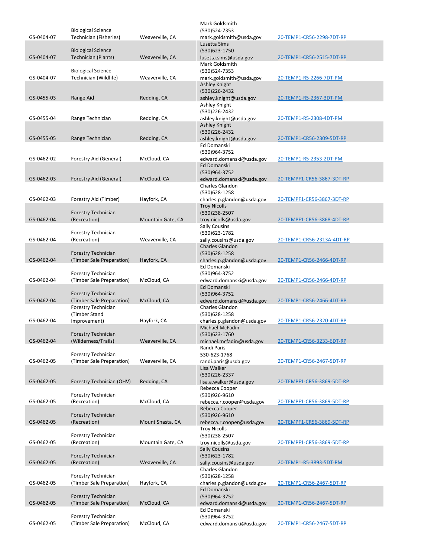|            |                                                     |                   | Mark Goldsmith                                  |                            |
|------------|-----------------------------------------------------|-------------------|-------------------------------------------------|----------------------------|
| GS-0404-07 | <b>Biological Science</b><br>Technician (Fisheries) | Weaverville, CA   | (530)524-7353<br>mark.goldsmith@usda.gov        | 20-TEMP1-CR56-2298-7DT-RP  |
|            |                                                     |                   | Lusetta Sims                                    |                            |
|            | <b>Biological Science</b>                           |                   | (530)623-1750                                   | 20-TEMP1-CR56-2515-7DT-RP  |
| GS-0404-07 | <b>Technician (Plants)</b>                          | Weaverville, CA   | lusetta.sims@usda.gov<br>Mark Goldsmith         |                            |
|            | <b>Biological Science</b>                           |                   | (530) 524-7353                                  |                            |
| GS-0404-07 | Technician (Wildlife)                               | Weaverville, CA   | mark.goldsmith@usda.gov<br><b>Ashley Knight</b> | 20-TEMP1-R5-2266-7DT-PM    |
|            |                                                     |                   | (530)226-2432                                   |                            |
| GS-0455-03 | Range Aid                                           | Redding, CA       | ashley.knight@usda.gov<br>Ashley Knight         | 20-TEMP1-R5-2367-3DT-PM    |
|            |                                                     |                   | (530)226-2432                                   |                            |
| GS-0455-04 | Range Technician                                    | Redding, CA       | ashley.knight@usda.gov<br><b>Ashley Knight</b>  | 20-TEMP1-R5-2308-4DT-PM    |
|            |                                                     |                   | (530)226-2432                                   |                            |
| GS-0455-05 | Range Technician                                    | Redding, CA       | ashley.knight@usda.gov<br>Ed Domanski           | 20-TEMP1-CR56-2309-5DT-RP  |
|            |                                                     |                   | (530)964-3752                                   |                            |
| GS-0462-02 | Forestry Aid (General)                              | McCloud, CA       | edward.domanski@usda.gov                        | 20-TEMP1-R5-2353-2DT-PM    |
|            |                                                     |                   | Ed Domanski<br>(530)964-3752                    |                            |
| GS-0462-03 | Forestry Aid (General)                              | McCloud, CA       | edward.domanski@usda.gov                        | 20-TEMPF1-CR56-3867-3DT-RP |
|            |                                                     |                   | Charles Glandon<br>(530)628-1258                |                            |
| GS-0462-03 | Forestry Aid (Timber)                               | Hayfork, CA       | charles.p.glandon@usda.gov                      | 20-TEMPF1-CR56-3867-3DT-RP |
|            | Forestry Technician                                 |                   | <b>Troy Nicolls</b><br>(530)238-2507            |                            |
| GS-0462-04 | (Recreation)                                        | Mountain Gate, CA | troy.nicolls@usda.gov                           | 20-TEMPF1-CR56-3868-4DT-RP |
|            | Forestry Technician                                 |                   | <b>Sally Cousins</b><br>(530)623-1782           |                            |
| GS-0462-04 | (Recreation)                                        | Weaverville, CA   | sally.cousins@usda.gov                          | 20-TEMP1-CR56-2313A-4DT-RP |
|            | Forestry Technician                                 |                   | <b>Charles Glandon</b><br>(530)628-1258         |                            |
| GS-0462-04 | (Timber Sale Preparation)                           | Hayfork, CA       | charles.p.glandon@usda.gov                      | 20-TEMP1-CR56-2466-4DT-RP  |
|            | Forestry Technician                                 |                   | Ed Domanski<br>(530)964-3752                    |                            |
| GS-0462-04 | (Timber Sale Preparation)                           | McCloud, CA       | edward.domanski@usda.gov                        | 20-TEMP1-CR56-2466-4DT-RP  |
|            | <b>Forestry Technician</b>                          |                   | Ed Domanski<br>(530)964-3752                    |                            |
| GS-0462-04 | (Timber Sale Preparation)                           | McCloud, CA       | edward.domanski@usda.gov                        | 20-TEMP1-CR56-2466-4DT-RP  |
|            | Forestry Technician<br>(Timber Stand                |                   | Charles Glandon<br>(530)628-1258                |                            |
| GS-0462-04 | Improvement)                                        | Hayfork, CA       | charles.p.glandon@usda.gov                      | 20-TEMP1-CR56-2320-4DT-RP  |
|            | Forestry Technician                                 |                   | <b>Michael McFadin</b><br>(530)623-1760         |                            |
| GS-0462-04 | (Wilderness/Trails)                                 | Weaverville, CA   | michael.mcfadin@usda.gov                        | 20-TEMP1-CR56-3233-6DT-RP  |
|            | Forestry Technician                                 |                   | Randi Paris<br>530-623-1768                     |                            |
| GS-0462-05 | (Timber Sale Preparation)                           | Weaverville, CA   | randi.paris@usda.gov                            | 20-TEMP1-CR56-2467-5DT-RP  |
|            |                                                     |                   | Lisa Walker<br>(530)226-2337                    |                            |
| GS-0462-05 | Forestry Technician (OHV)                           | Redding, CA       | lisa.a.walker@usda.gov                          | 20-TEMPF1-CR56-3869-5DT-RP |
|            | Forestry Technician                                 |                   | Rebecca Cooper                                  |                            |
| GS-0462-05 | (Recreation)                                        | McCloud, CA       | (530)926-9610<br>rebecca.r.cooper@usda.gov      | 20-TEMPF1-CR56-3869-5DT-RP |
|            |                                                     |                   | Rebecca Cooper                                  |                            |
| GS-0462-05 | <b>Forestry Technician</b><br>(Recreation)          | Mount Shasta, CA  | (530)926-9610<br>rebecca.r.cooper@usda.gov      | 20-TEMPF1-CR56-3869-5DT-RP |
|            |                                                     |                   | <b>Troy Nicolls</b>                             |                            |
| GS-0462-05 | Forestry Technician<br>(Recreation)                 | Mountain Gate, CA | (530)238-2507<br>troy.nicolls@usda.gov          | 20-TEMPF1-CR56-3869-5DT-RP |
|            |                                                     |                   | <b>Sally Cousins</b>                            |                            |
| GS-0462-05 | <b>Forestry Technician</b><br>(Recreation)          | Weaverville, CA   | (530)623-1782<br>sally.cousins@usda.gov         | 20-TEMP1-R5-3893-5DT-PM    |
|            |                                                     |                   | Charles Glandon                                 |                            |
| GS-0462-05 | Forestry Technician<br>(Timber Sale Preparation)    | Hayfork, CA       | (530)628-1258<br>charles.p.glandon@usda.gov     | 20-TEMP1-CR56-2467-5DT-RP  |
|            |                                                     |                   | Ed Domanski                                     |                            |
| GS-0462-05 | Forestry Technician<br>(Timber Sale Preparation)    | McCloud, CA       | (530)964-3752<br>edward.domanski@usda.gov       | 20-TEMP1-CR56-2467-5DT-RP  |
|            |                                                     |                   | Ed Domanski                                     |                            |
| GS-0462-05 | Forestry Technician<br>(Timber Sale Preparation)    | McCloud, CA       | (530)964-3752<br>edward.domanski@usda.gov       | 20-TEMP1-CR56-2467-5DT-RP  |
|            |                                                     |                   |                                                 |                            |